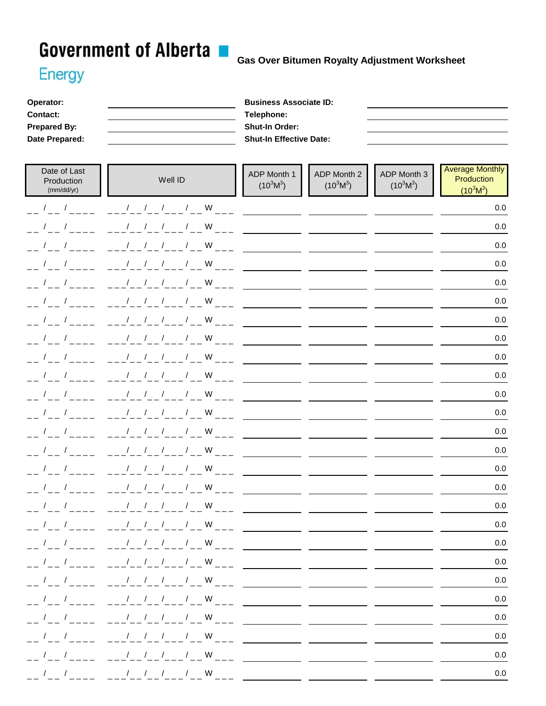## Government of Alberta B Gas Over Bitumen Royalty Adjustment Worksheet

## **Energy**

| Operator:           | <b>Business Associate ID:</b>  |
|---------------------|--------------------------------|
| <b>Contact:</b>     | Telephone:                     |
| <b>Prepared By:</b> | <b>Shut-In Order:</b>          |
| Date Prepared:      | <b>Shut-In Effective Date:</b> |

| Date of Last<br>Production<br>(mm/dd/yr)                                                                                                                                                                                                                                                                            | Well ID                                                                                                                                                       | ADP Month 1<br>$(10^3M^3)$ | ADP Month 2<br>$(10^3M^3)$ | ADP Month 3<br>$(10^3M^3)$ | <b>Average Monthly</b><br>Production<br>$(10^3M^3)$ |
|---------------------------------------------------------------------------------------------------------------------------------------------------------------------------------------------------------------------------------------------------------------------------------------------------------------------|---------------------------------------------------------------------------------------------------------------------------------------------------------------|----------------------------|----------------------------|----------------------------|-----------------------------------------------------|
| $\frac{1}{2}$                                                                                                                                                                                                                                                                                                       | $1 / 1 / 1$ W                                                                                                                                                 |                            |                            |                            | 0.0                                                 |
| $\frac{1}{2}$                                                                                                                                                                                                                                                                                                       | $1 / 1 / 1$ W                                                                                                                                                 |                            |                            |                            | 0.0                                                 |
| $\frac{1}{2}$                                                                                                                                                                                                                                                                                                       | $1 - 1 = 1 - 1 = 1$                                                                                                                                           |                            |                            |                            | 0.0                                                 |
| $\sqrt{2}$                                                                                                                                                                                                                                                                                                          | $1 / 1 / 1$ W                                                                                                                                                 |                            |                            |                            | 0.0                                                 |
|                                                                                                                                                                                                                                                                                                                     | $1 \quad 1 \quad 1$<br>$/$ W                                                                                                                                  |                            |                            |                            | $0.0\,$                                             |
| $\frac{1}{2}$                                                                                                                                                                                                                                                                                                       | $1 / 1 / 1$ W                                                                                                                                                 |                            |                            |                            | 0.0                                                 |
| $\frac{1}{2}$                                                                                                                                                                                                                                                                                                       | 1 / 1 / 1                                                                                                                                                     |                            |                            |                            | $0.0\,$                                             |
| $     -$                                                                                                                                                                                                                                                                                                            |                                                                                                                                                               |                            |                            |                            | 0.0                                                 |
|                                                                                                                                                                                                                                                                                                                     | $1 / 1 / 1$ W                                                                                                                                                 |                            |                            |                            | 0.0                                                 |
| $\sqrt{2}$<br>$\sqrt{ }$                                                                                                                                                                                                                                                                                            | $1 \quad 1 \quad 1$<br>$/$ W                                                                                                                                  |                            |                            |                            | 0.0                                                 |
| $\sqrt{2}$<br>$\overline{1}$                                                                                                                                                                                                                                                                                        | $/$ W<br>$1 \quad 1 \quad 1$                                                                                                                                  |                            |                            |                            | $0.0\,$                                             |
| $\frac{1}{1-\epsilon}$ / $\frac{1}{1-\epsilon}$ / $\frac{1}{1-\epsilon}$                                                                                                                                                                                                                                            | $\frac{1}{2}$ $\frac{1}{2}$ $\frac{1}{2}$ $\frac{1}{2}$ $\frac{1}{2}$ W                                                                                       |                            |                            |                            | 0.0                                                 |
| $\sqrt{2}$                                                                                                                                                                                                                                                                                                          | / / / / W                                                                                                                                                     |                            |                            |                            | 0.0                                                 |
| $\frac{1}{2}$                                                                                                                                                                                                                                                                                                       | 1 / 1 / 1                                                                                                                                                     |                            |                            |                            | 0.0                                                 |
| $\frac{1}{2}$ $\frac{1}{2}$                                                                                                                                                                                                                                                                                         |                                                                                                                                                               |                            |                            |                            | $0.0\,$                                             |
| $\frac{1}{1}$ $\frac{1}{1}$ $\frac{1}{1}$ $\frac{1}{1}$ $\frac{1}{1}$ $\frac{1}{1}$ $\frac{1}{1}$ $\frac{1}{1}$ $\frac{1}{1}$ $\frac{1}{1}$ $\frac{1}{1}$ $\frac{1}{1}$ $\frac{1}{1}$ $\frac{1}{1}$ $\frac{1}{1}$ $\frac{1}{1}$ $\frac{1}{1}$ $\frac{1}{1}$ $\frac{1}{1}$ $\frac{1}{1}$ $\frac{1}{1}$ $\frac{1}{1}$ | $1 / 1 / 1$ W                                                                                                                                                 |                            |                            |                            | 0.0                                                 |
| $\prime$                                                                                                                                                                                                                                                                                                            | $\sqrt{2}$<br>W<br>$\sqrt{2}$<br>$\sqrt{2}$<br>$\prime$                                                                                                       |                            |                            |                            | 0.0                                                 |
| $\sqrt{2}$<br>$\prime$                                                                                                                                                                                                                                                                                              | $1 \quad 1 \quad 1$<br>$\sqrt{2}$<br>W                                                                                                                        |                            |                            |                            | 0.0                                                 |
|                                                                                                                                                                                                                                                                                                                     | / / / / W                                                                                                                                                     |                            |                            |                            | $0.0\,$                                             |
| $\mathcal{L}_{\mathcal{A}}$                                                                                                                                                                                                                                                                                         | $\frac{1}{2}$<br>$\frac{1}{2}$<br>$\frac{1}{2}$<br>W                                                                                                          |                            |                            |                            | $0.0\,$                                             |
| $1 \quad 1$                                                                                                                                                                                                                                                                                                         | $\sqrt{2}$<br>$/$ W<br>$\sqrt{2}$                                                                                                                             |                            |                            |                            | $0.0\,$                                             |
| $\frac{1}{2}$                                                                                                                                                                                                                                                                                                       | / / / / W                                                                                                                                                     |                            |                            |                            | $0.0\,$                                             |
| $\frac{1}{2}$                                                                                                                                                                                                                                                                                                       |                                                                                                                                                               |                            |                            |                            | $0.0\,$                                             |
| $\frac{1}{2}$                                                                                                                                                                                                                                                                                                       |                                                                                                                                                               |                            |                            |                            | $0.0\,$                                             |
|                                                                                                                                                                                                                                                                                                                     |                                                                                                                                                               |                            |                            |                            | $0.0\,$                                             |
|                                                                                                                                                                                                                                                                                                                     | $\frac{1}{2}$ / $\frac{1}{2}$ / $\frac{1}{2}$ / $\frac{1}{2}$ / $\frac{1}{2}$ / $\frac{1}{2}$ / $\frac{1}{2}$ / $\frac{1}{2}$ W $\frac{1}{2}$ / $\frac{1}{2}$ |                            |                            |                            | $0.0\,$                                             |